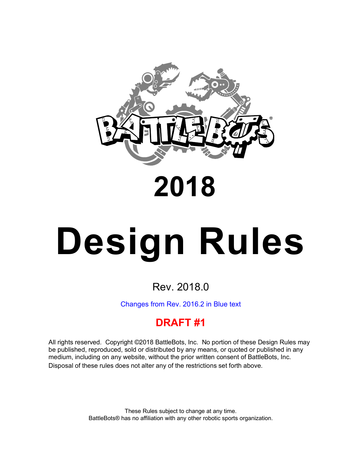

## **2018**

# **Design Rules**

### Rev. 2018.0

Changes from Rev. 2016.2 in Blue text

### **DRAFT #1**

All rights reserved. Copyright ©2018 BattleBots, Inc. No portion of these Design Rules may be published, reproduced, sold or distributed by any means, or quoted or published in any medium, including on any website, without the prior written consent of BattleBots, Inc. Disposal of these rules does not alter any of the restrictions set forth above.

> These Rules subject to change at any time. BattleBots® has no affiliation with any other robotic sports organization.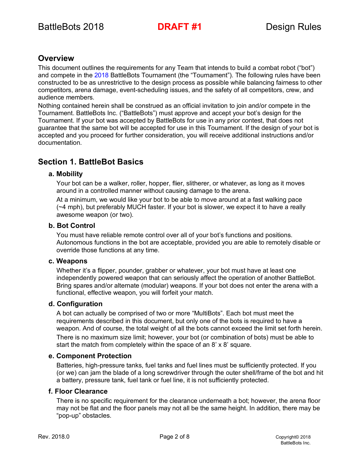#### **Overview**

This document outlines the requirements for any Team that intends to build a combat robot ("bot") and compete in the 2018 BattleBots Tournament (the "Tournament"). The following rules have been constructed to be as unrestrictive to the design process as possible while balancing fairness to other competitors, arena damage, event-scheduling issues, and the safety of all competitors, crew, and audience members.

Nothing contained herein shall be construed as an official invitation to join and/or compete in the Tournament. BattleBots Inc. ("BattleBots") must approve and accept your bot's design for the Tournament. If your bot was accepted by BattleBots for use in any prior contest, that does not guarantee that the same bot will be accepted for use in this Tournament. If the design of your bot is accepted and you proceed for further consideration, you will receive additional instructions and/or documentation.

#### **Section 1. BattleBot Basics**

#### **a. Mobility**

Your bot can be a walker, roller, hopper, flier, slitherer, or whatever, as long as it moves around in a controlled manner without causing damage to the arena.

At a minimum, we would like your bot to be able to move around at a fast walking pace  $(\sim 4 \text{ mph})$ , but preferably MUCH faster. If your bot is slower, we expect it to have a really awesome weapon (or two).

#### **b. Bot Control**

You must have reliable remote control over all of your bot's functions and positions. Autonomous functions in the bot are acceptable, provided you are able to remotely disable or override those functions at any time.

#### **c. Weapons**

Whether it's a flipper, pounder, grabber or whatever, your bot must have at least one independently powered weapon that can seriously affect the operation of another BattleBot. Bring spares and/or alternate (modular) weapons. If your bot does not enter the arena with a functional, effective weapon, you will forfeit your match.

#### **d. Configuration**

A bot can actually be comprised of two or more "MultiBots". Each bot must meet the requirements described in this document, but only one of the bots is required to have a weapon. And of course, the total weight of all the bots cannot exceed the limit set forth herein. There is no maximum size limit; however, your bot (or combination of bots) must be able to start the match from completely within the space of an 8' x 8' square.

#### **e. Component Protection**

Batteries, high-pressure tanks, fuel tanks and fuel lines must be sufficiently protected. If you (or we) can jam the blade of a long screwdriver through the outer shell/frame of the bot and hit a battery, pressure tank, fuel tank or fuel line, it is not sufficiently protected.

#### **f. Floor Clearance**

There is no specific requirement for the clearance underneath a bot; however, the arena floor may not be flat and the floor panels may not all be the same height. In addition, there may be "pop-up" obstacles.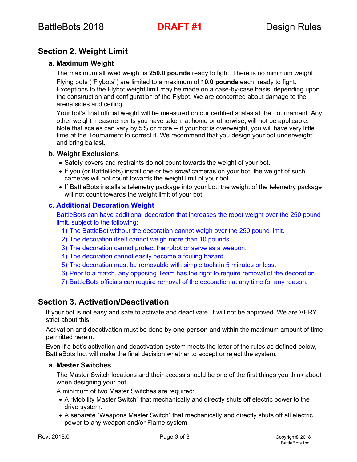#### **Section 2. Weight Limit**

#### **a. Maximum Weight**

The maximum allowed weight is **250.0 pounds** ready to fight. There is no minimum weight.

Flying bots ("Flybots") are limited to a maximum of **10.0 pounds** each, ready to fight. Exceptions to the Flybot weight limit may be made on a case-by-case basis, depending upon the construction and configuration of the Flybot. We are concerned about damage to the arena sides and ceiling.

Your bot's final official weight will be measured on our certified scales at the Tournament. Any other weight measurements you have taken, at home or otherwise, will not be applicable. Note that scales can vary by 5% or more -- if your bot is overweight, you will have very little time at the Tournament to correct it. We recommend that you design your bot underweight and bring ballast.

#### **b. Weight Exclusions**

- Safety covers and restraints do not count towards the weight of your bot.
- If you (or BattleBots) install one or two *small* cameras on your bot, the weight of such cameras will not count towards the weight limit of your bot.
- If BattleBots installs a telemetry package into your bot, the weight of the telemetry package will not count towards the weight limit of your bot.

#### **c. Additional Decoration Weight**

BattleBots can have additional decoration that increases the robot weight over the 250 pound limit, subject to the following:

- 1) The BattleBot without the decoration cannot weigh over the 250 pound limit.
- 2) The decoration itself cannot weigh more than 10 pounds.
- 3) The decoration cannot protect the robot or serve as a weapon.
- 4) The decoration cannot easily become a fouling hazard.
- 5) The decoration must be removable with simple tools in 5 minutes or less.
- 6) Prior to a match, any opposing Team has the right to require removal of the decoration.
- 7) BattleBots officials can require removal of the decoration at any time for any reason.

#### **Section 3. Activation/Deactivation**

If your bot is not easy and safe to activate and deactivate, it will not be approved. We are VERY strict about this.

Activation and deactivation must be done by **one person** and within the maximum amount of time permitted herein.

Even if a bot's activation and deactivation system meets the letter of the rules as defined below, BattleBots Inc. will make the final decision whether to accept or reject the system.

#### **a. Master Switches**

The Master Switch locations and their access should be one of the first things you think about when designing your bot.

A minimum of two Master Switches are required:

- A "Mobility Master Switch" that mechanically and directly shuts off electric power to the drive system.
- A separate "Weapons Master Switch" that mechanically and directly shuts off all electric power to any weapon and/or Flame system.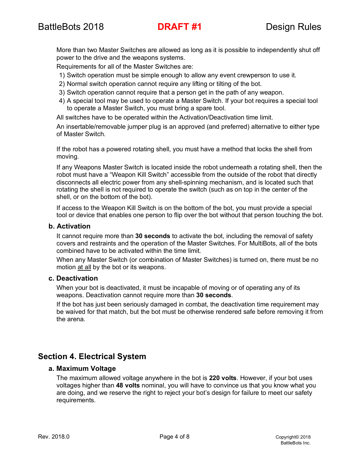More than two Master Switches are allowed as long as it is possible to independently shut off power to the drive and the weapons systems.

Requirements for all of the Master Switches are:

- 1) Switch operation must be simple enough to allow any event crewperson to use it.
- 2) Normal switch operation cannot require any lifting or tilting of the bot.
- 3) Switch operation cannot require that a person get in the path of any weapon.
- 4) A special tool may be used to operate a Master Switch. If your bot requires a special tool to operate a Master Switch, you must bring a spare tool.

All switches have to be operated within the Activation/Deactivation time limit.

An insertable/removable jumper plug is an approved (and preferred) alternative to either type of Master Switch.

If the robot has a powered rotating shell, you must have a method that locks the shell from moving.

If any Weapons Master Switch is located inside the robot underneath a rotating shell, then the robot must have a "Weapon Kill Switch" accessible from the outside of the robot that directly disconnects all electric power from any shell-spinning mechanism, and is located such that rotating the shell is not required to operate the switch (such as on top in the center of the shell, or on the bottom of the bot).

If access to the Weapon Kill Switch is on the bottom of the bot, you must provide a special tool or device that enables one person to flip over the bot without that person touching the bot.

#### **b. Activation**

It cannot require more than **30 seconds** to activate the bot, including the removal of safety covers and restraints and the operation of the Master Switches. For MultiBots, all of the bots combined have to be activated within the time limit.

When any Master Switch (or combination of Master Switches) is turned on, there must be no motion at all by the bot or its weapons.

#### **c. Deactivation**

When your bot is deactivated, it must be incapable of moving or of operating any of its weapons. Deactivation cannot require more than **30 seconds**.

If the bot has just been seriously damaged in combat, the deactivation time requirement may be waived for that match, but the bot must be otherwise rendered safe before removing it from the arena.

#### **Section 4. Electrical System**

#### **a. Maximum Voltage**

The maximum allowed voltage anywhere in the bot is **220 volts**. However, if your bot uses voltages higher than **48 volts** nominal, you will have to convince us that you know what you are doing, and we reserve the right to reject your bot's design for failure to meet our safety requirements.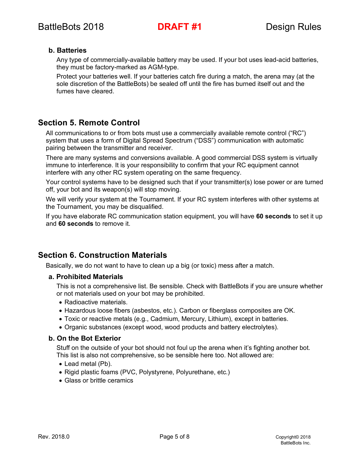#### **b. Batteries**

Any type of commercially-available battery may be used. If your bot uses lead-acid batteries, they must be factory-marked as AGM-type.

Protect your batteries well. If your batteries catch fire during a match, the arena may (at the sole discretion of the BattleBots) be sealed off until the fire has burned itself out and the fumes have cleared.

#### **Section 5. Remote Control**

All communications to or from bots must use a commercially available remote control ("RC") system that uses a form of Digital Spread Spectrum ("DSS") communication with automatic pairing between the transmitter and receiver.

There are many systems and conversions available. A good commercial DSS system is virtually immune to interference. It is your responsibility to confirm that your RC equipment cannot interfere with any other RC system operating on the same frequency.

Your control systems have to be designed such that if your transmitter(s) lose power or are turned off, your bot and its weapon(s) will stop moving.

We will verify your system at the Tournament. If your RC system interferes with other systems at the Tournament, you may be disqualified.

If you have elaborate RC communication station equipment, you will have **60 seconds** to set it up and **60 seconds** to remove it.

#### **Section 6. Construction Materials**

Basically, we do not want to have to clean up a big (or toxic) mess after a match.

#### **a. Prohibited Materials**

This is not a comprehensive list. Be sensible. Check with BattleBots if you are unsure whether or not materials used on your bot may be prohibited.

- Radioactive materials.
- Hazardous loose fibers (asbestos, etc.). Carbon or fiberglass composites are OK.
- Toxic or reactive metals (e.g., Cadmium, Mercury, Lithium), except in batteries.
- Organic substances (except wood, wood products and battery electrolytes).

#### **b. On the Bot Exterior**

Stuff on the outside of your bot should not foul up the arena when it's fighting another bot. This list is also not comprehensive, so be sensible here too. Not allowed are:

- Lead metal (Pb).
- Rigid plastic foams (PVC, Polystyrene, Polyurethane, etc.)
- Glass or brittle ceramics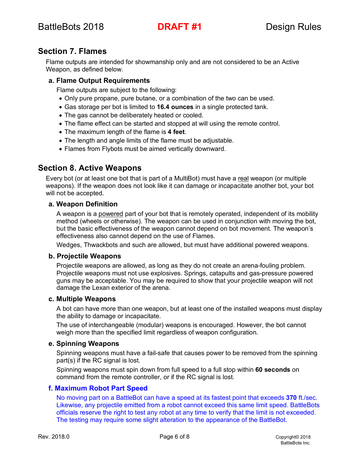#### **Section 7. Flames**

Flame outputs are intended for showmanship only and are not considered to be an Active Weapon, as defined below.

#### **a. Flame Output Requirements**

Flame outputs are subject to the following:

- Only pure propane, pure butane, or a combination of the two can be used.
- Gas storage per bot is limited to **16.4 ounces** in a single protected tank.
- The gas cannot be deliberately heated or cooled.
- The flame effect can be started and stopped at will using the remote control.
- The maximum length of the flame is **4 feet**.
- The length and angle limits of the flame must be adjustable.
- Flames from Flybots must be aimed vertically downward.

#### **Section 8. Active Weapons**

Every bot (or at least one bot that is part of a MultiBot) must have a real weapon (or multiple weapons). If the weapon does not look like it can damage or incapacitate another bot, your bot will not be accepted.

#### **a. Weapon Definition**

A weapon is a powered part of your bot that is remotely operated, independent of its mobility method (wheels or otherwise). The weapon can be used in conjunction with moving the bot, but the basic effectiveness of the weapon cannot depend on bot movement. The weapon's effectiveness also cannot depend on the use of Flames.

Wedges, Thwackbots and such are allowed, but must have additional powered weapons.

#### **b. Projectile Weapons**

Projectile weapons are allowed, as long as they do not create an arena-fouling problem. Projectile weapons must not use explosives. Springs, catapults and gas-pressure powered guns may be acceptable. You may be required to show that your projectile weapon will not damage the Lexan exterior of the arena.

#### **c. Multiple Weapons**

A bot can have more than one weapon, but at least one of the installed weapons must display the ability to damage or incapacitate.

The use of interchangeable (modular) weapons is encouraged. However, the bot cannot weigh more than the specified limit regardless of weapon configuration.

#### **e. Spinning Weapons**

Spinning weapons must have a fail-safe that causes power to be removed from the spinning part(s) if the RC signal is lost.

Spinning weapons must spin down from full speed to a full stop within **60 seconds** on command from the remote controller, or if the RC signal is lost.

#### **f. Maximum Robot Part Speed**

No moving part on a BattleBot can have a speed at its fastest point that exceeds **370** ft./sec. Likewise, any projectile emitted from a robot cannot exceed this same limit speed. BattleBots officials reserve the right to test any robot at any time to verify that the limit is not exceeded. The testing may require some slight alteration to the appearance of the BattleBot.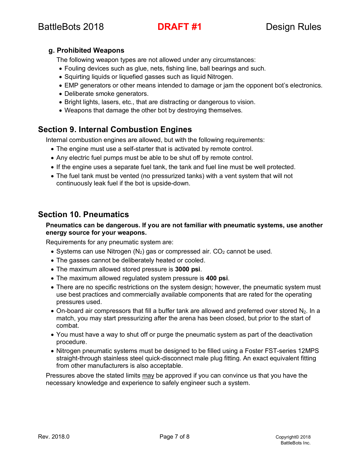#### **g. Prohibited Weapons**

The following weapon types are not allowed under any circumstances:

- Fouling devices such as glue, nets, fishing line, ball bearings and such.
- Squirting liquids or liquefied gasses such as liquid Nitrogen.
- EMP generators or other means intended to damage or jam the opponent bot's electronics.
- Deliberate smoke generators.
- Bright lights, lasers, etc., that are distracting or dangerous to vision.
- Weapons that damage the other bot by destroying themselves.

#### **Section 9. Internal Combustion Engines**

Internal combustion engines are allowed, but with the following requirements:

- The engine must use a self-starter that is activated by remote control.
- Any electric fuel pumps must be able to be shut off by remote control.
- If the engine uses a separate fuel tank, the tank and fuel line must be well protected.
- The fuel tank must be vented (no pressurized tanks) with a vent system that will not continuously leak fuel if the bot is upside-down.

#### **Section 10. Pneumatics**

#### **Pneumatics can be dangerous. If you are not familiar with pneumatic systems, use another energy source for your weapons.**

Requirements for any pneumatic system are:

- Systems can use Nitrogen  $(N_2)$  gas or compressed air.  $CO_2$  cannot be used.
- The gasses cannot be deliberately heated or cooled.
- The maximum allowed stored pressure is **3000 psi**.
- The maximum allowed regulated system pressure is **400 psi**.
- There are no specific restrictions on the system design; however, the pneumatic system must use best practices and commercially available components that are rated for the operating pressures used.
- $\bullet$  On-board air compressors that fill a buffer tank are allowed and preferred over stored  $N_2$ . In a match, you may start pressurizing after the arena has been closed, but prior to the start of combat.
- You must have a way to shut off or purge the pneumatic system as part of the deactivation procedure.
- Nitrogen pneumatic systems must be designed to be filled using a Foster FST-series 12MPS straight-through stainless steel quick-disconnect male plug fitting. An exact equivalent fitting from other manufacturers is also acceptable.

Pressures above the stated limits may be approved if you can convince us that you have the necessary knowledge and experience to safely engineer such a system.